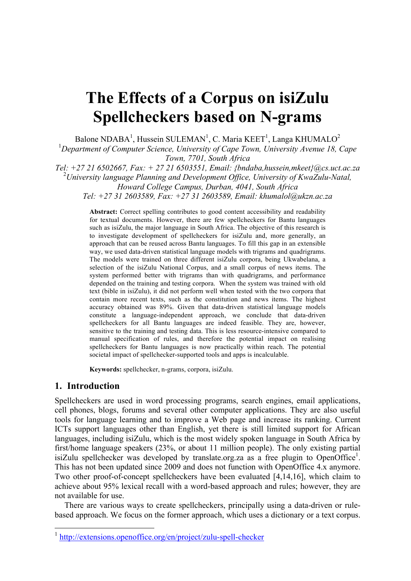# **The Effects of a Corpus on isiZulu Spellcheckers based on N-grams**

Balone NDABA<sup>1</sup>, Hussein SULEMAN<sup>1</sup>, C. Maria KEET<sup>1</sup>, Langa KHUMALO<sup>2</sup>

<sup>1</sup>Department of Computer Science, University of Cape Town, University Avenue 18, Cape *Town, 7701, South Africa*

*Tel: +27 21 6502667, Fax: + 27 21 6503551, Email: {bndaba,hussein,mkeet}@cs.uct.ac.za*

2 *University language Planning and Development Office, University of KwaZulu-Natal, Howard College Campus, Durban, 4041, South Africa*

*Tel: +27 31 2603589, Fax: +27 31 2603589, Email: khumalol@ukzn.ac.za*

**Abstract:** Correct spelling contributes to good content accessibility and readability for textual documents. However, there are few spellcheckers for Bantu languages such as isiZulu, the major language in South Africa. The objective of this research is to investigate development of spellcheckers for isiZulu and, more generally, an approach that can be reused across Bantu languages. To fill this gap in an extensible way, we used data-driven statistical language models with trigrams and quadrigrams. The models were trained on three different isiZulu corpora, being Ukwabelana, a selection of the isiZulu National Corpus, and a small corpus of news items. The system performed better with trigrams than with quadrigrams, and performance depended on the training and testing corpora. When the system was trained with old text (bible in isiZulu), it did not perform well when tested with the two corpora that contain more recent texts, such as the constitution and news items. The highest accuracy obtained was 89%. Given that data-driven statistical language models constitute a language-independent approach, we conclude that data-driven spellcheckers for all Bantu languages are indeed feasible. They are, however, sensitive to the training and testing data. This is less resource-intensive compared to manual specification of rules, and therefore the potential impact on realising spellcheckers for Bantu languages is now practically within reach. The potential societal impact of spellchecker-supported tools and apps is incalculable.

**Keywords:** spellchecker, n-grams, corpora, isiZulu.

## **1. Introduction**

Spellcheckers are used in word processing programs, search engines, email applications, cell phones, blogs, forums and several other computer applications. They are also useful tools for language learning and to improve a Web page and increase its ranking. Current ICTs support languages other than English, yet there is still limited support for African languages, including isiZulu, which is the most widely spoken language in South Africa by first/home language speakers (23%, or about 11 million people). The only existing partial isiZulu spellchecker was developed by translate.org.za as a free plugin to OpenOffice<sup>1</sup>. This has not been updated since 2009 and does not function with OpenOffice 4.x anymore. Two other proof-of-concept spellcheckers have been evaluated [4,14,16], which claim to achieve about 95% lexical recall with a word-based approach and rules; however, they are not available for use.

There are various ways to create spellcheckers, principally using a data-driven or rulebased approach. We focus on the former approach, which uses a dictionary or a text corpus.

 <sup>1</sup> http://extensions.openoffice.org/en/project/zulu-spell-checker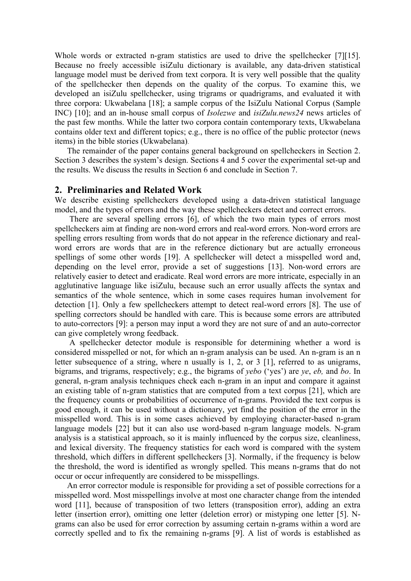Whole words or extracted n-gram statistics are used to drive the spellchecker [7][15]. Because no freely accessible isiZulu dictionary is available, any data-driven statistical language model must be derived from text corpora. It is very well possible that the quality of the spellchecker then depends on the quality of the corpus. To examine this, we developed an isiZulu spellchecker, using trigrams or quadrigrams, and evaluated it with three corpora: Ukwabelana [18]; a sample corpus of the IsiZulu National Corpus (Sample INC) [10]; and an in-house small corpus of *Isolezwe* and *isiZulu.news24* news articles of the past few months. While the latter two corpora contain contemporary texts, Ukwabelana contains older text and different topics; e.g., there is no office of the public protector (news items) in the bible stories (Ukwabelana).

The remainder of the paper contains general background on spellcheckers in Section 2. Section 3 describes the system's design. Sections 4 and 5 cover the experimental set-up and the results. We discuss the results in Section 6 and conclude in Section 7.

## **2. Preliminaries and Related Work**

We describe existing spellcheckers developed using a data-driven statistical language model, and the types of errors and the way these spellcheckers detect and correct errors.

There are several spelling errors [6], of which the two main types of errors most spellcheckers aim at finding are non-word errors and real-word errors. Non-word errors are spelling errors resulting from words that do not appear in the reference dictionary and realword errors are words that are in the reference dictionary but are actually erroneous spellings of some other words [19]. A spellchecker will detect a misspelled word and, depending on the level error, provide a set of suggestions [13]. Non-word errors are relatively easier to detect and eradicate. Real word errors are more intricate, especially in an agglutinative language like isiZulu, because such an error usually affects the syntax and semantics of the whole sentence, which in some cases requires human involvement for detection [1]. Only a few spellcheckers attempt to detect real-word errors [8]. The use of spelling correctors should be handled with care. This is because some errors are attributed to auto-correctors [9]: a person may input a word they are not sure of and an auto-corrector can give completely wrong feedback.

A spellchecker detector module is responsible for determining whether a word is considered misspelled or not, for which an n-gram analysis can be used. An n-gram is an n letter subsequence of a string, where n usually is 1, 2, or 3 [1], referred to as unigrams, bigrams, and trigrams, respectively; e.g., the bigrams of *yebo* ('yes') are *ye*, *eb,* and *bo*. In general, n-gram analysis techniques check each n-gram in an input and compare it against an existing table of n-gram statistics that are computed from a text corpus [21], which are the frequency counts or probabilities of occurrence of n-grams. Provided the text corpus is good enough, it can be used without a dictionary, yet find the position of the error in the misspelled word. This is in some cases achieved by employing character-based n-gram language models [22] but it can also use word-based n-gram language models. N-gram analysis is a statistical approach, so it is mainly influenced by the corpus size, cleanliness, and lexical diversity. The frequency statistics for each word is compared with the system threshold, which differs in different spellcheckers [3]. Normally, if the frequency is below the threshold, the word is identified as wrongly spelled. This means n-grams that do not occur or occur infrequently are considered to be misspellings.

An error corrector module is responsible for providing a set of possible corrections for a misspelled word. Most misspellings involve at most one character change from the intended word [11], because of transposition of two letters (transposition error), adding an extra letter (insertion error), omitting one letter (deletion error) or mistyping one letter [5]. Ngrams can also be used for error correction by assuming certain n-grams within a word are correctly spelled and to fix the remaining n-grams [9]. A list of words is established as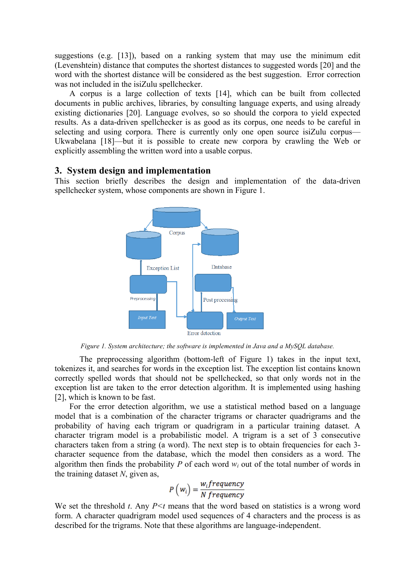suggestions (e.g. [13]), based on a ranking system that may use the minimum edit (Levenshtein) distance that computes the shortest distances to suggested words [20] and the word with the shortest distance will be considered as the best suggestion. Error correction was not included in the isiZulu spellchecker.

A corpus is a large collection of texts [14], which can be built from collected documents in public archives, libraries, by consulting language experts, and using already existing dictionaries [20]. Language evolves, so so should the corpora to yield expected results. As a data-driven spellchecker is as good as its corpus, one needs to be careful in selecting and using corpora. There is currently only one open source isiZulu corpus— Ukwabelana [18]—but it is possible to create new corpora by crawling the Web or explicitly assembling the written word into a usable corpus.

## **3. System design and implementation**

This section briefly describes the design and implementation of the data-driven spellchecker system, whose components are shown in Figure 1.



*Figure 1. System architecture; the software is implemented in Java and a MySQL database.*

The preprocessing algorithm (bottom-left of Figure 1) takes in the input text, tokenizes it, and searches for words in the exception list. The exception list contains known correctly spelled words that should not be spellchecked, so that only words not in the exception list are taken to the error detection algorithm. It is implemented using hashing [2], which is known to be fast.

For the error detection algorithm, we use a statistical method based on a language model that is a combination of the character trigrams or character quadrigrams and the probability of having each trigram or quadrigram in a particular training dataset. A character trigram model is a probabilistic model. A trigram is a set of 3 consecutive characters taken from a string (a word). The next step is to obtain frequencies for each 3 character sequence from the database, which the model then considers as a word. The algorithm then finds the probability  $P$  of each word  $w_i$  out of the total number of words in the training dataset *N*, given as,

$$
P(w_i) = \frac{w_i frequency}{N frequency}
$$

We set the threshold *t*. Any *P<t* means that the word based on statistics is a wrong word form. A character quadrigram model used sequences of 4 characters and the process is as described for the trigrams. Note that these algorithms are language-independent.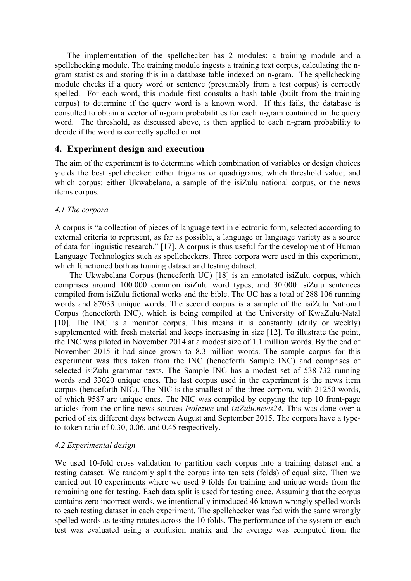The implementation of the spellchecker has 2 modules: a training module and a spellchecking module. The training module ingests a training text corpus, calculating the ngram statistics and storing this in a database table indexed on n-gram. The spellchecking module checks if a query word or sentence (presumably from a test corpus) is correctly spelled. For each word, this module first consults a hash table (built from the training corpus) to determine if the query word is a known word. If this fails, the database is consulted to obtain a vector of n-gram probabilities for each n-gram contained in the query word. The threshold, as discussed above, is then applied to each n-gram probability to decide if the word is correctly spelled or not.

## **4. Experiment design and execution**

The aim of the experiment is to determine which combination of variables or design choices yields the best spellchecker: either trigrams or quadrigrams; which threshold value; and which corpus: either Ukwabelana, a sample of the isiZulu national corpus, or the news items corpus.

## *4.1 The corpora*

A corpus is "a collection of pieces of language text in electronic form, selected according to external criteria to represent, as far as possible, a language or language variety as a source of data for linguistic research." [17]. A corpus is thus useful for the development of Human Language Technologies such as spellcheckers. Three corpora were used in this experiment, which functioned both as training dataset and testing dataset.

The Ukwabelana Corpus (henceforth UC) [18] is an annotated isiZulu corpus, which comprises around 100 000 common isiZulu word types, and 30 000 isiZulu sentences compiled from isiZulu fictional works and the bible. The UC has a total of 288 106 running words and 87033 unique words. The second corpus is a sample of the isiZulu National Corpus (henceforth INC), which is being compiled at the University of KwaZulu-Natal [10]. The INC is a monitor corpus. This means it is constantly (daily or weekly) supplemented with fresh material and keeps increasing in size [12]. To illustrate the point, the INC was piloted in November 2014 at a modest size of 1.1 million words. By the end of November 2015 it had since grown to 8.3 million words. The sample corpus for this experiment was thus taken from the INC (henceforth Sample INC) and comprises of selected isiZulu grammar texts. The Sample INC has a modest set of 538 732 running words and 33020 unique ones. The last corpus used in the experiment is the news item corpus (henceforth NIC). The NIC is the smallest of the three corpora, with 21250 words, of which 9587 are unique ones. The NIC was compiled by copying the top 10 front-page articles from the online news sources *Isolezwe* and *isiZulu.news24*. This was done over a period of six different days between August and September 2015. The corpora have a typeto-token ratio of 0.30, 0.06, and 0.45 respectively.

## *4.2 Experimental design*

We used 10-fold cross validation to partition each corpus into a training dataset and a testing dataset. We randomly split the corpus into ten sets (folds) of equal size. Then we carried out 10 experiments where we used 9 folds for training and unique words from the remaining one for testing. Each data split is used for testing once. Assuming that the corpus contains zero incorrect words, we intentionally introduced 46 known wrongly spelled words to each testing dataset in each experiment. The spellchecker was fed with the same wrongly spelled words as testing rotates across the 10 folds. The performance of the system on each test was evaluated using a confusion matrix and the average was computed from the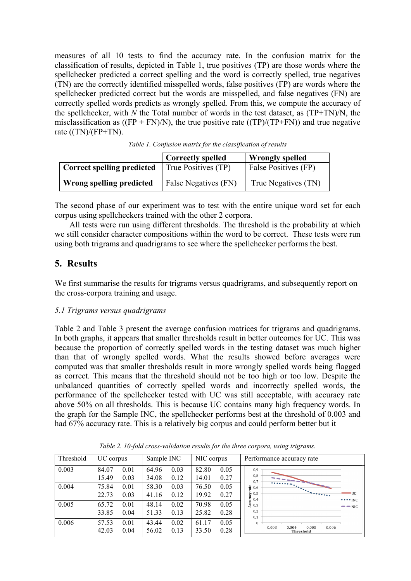measures of all 10 tests to find the accuracy rate. In the confusion matrix for the classification of results, depicted in Table 1, true positives (TP) are those words where the spellchecker predicted a correct spelling and the word is correctly spelled, true negatives (TN) are the correctly identified misspelled words, false positives (FP) are words where the spellchecker predicted correct but the words are misspelled, and false negatives (FN) are correctly spelled words predicts as wrongly spelled. From this, we compute the accuracy of the spellchecker, with *N* the Total number of words in the test dataset, as (TP+TN)/N, the misclassification as  $((FP + FN)/N)$ , the true positive rate  $((TP)/(TP+FN))$  and true negative rate  $((TN)/(FP+TN)$ .

|                                   | <b>Correctly spelled</b> | <b>Wrongly spelled</b>      |
|-----------------------------------|--------------------------|-----------------------------|
| <b>Correct spelling predicted</b> | True Positives (TP)      | <b>False Positives (FP)</b> |
| Wrong spelling predicted          | False Negatives (FN)     | True Negatives (TN)         |

*Table 1. Confusion matrix for the classification of results*

The second phase of our experiment was to test with the entire unique word set for each corpus using spellcheckers trained with the other 2 corpora.

All tests were run using different thresholds. The threshold is the probability at which we still consider character compositions within the word to be correct. These tests were run using both trigrams and quadrigrams to see where the spellchecker performs the best.

# **5. Results**

We first summarise the results for trigrams versus quadrigrams, and subsequently report on the cross-corpora training and usage.

## *5.1 Trigrams versus quadrigrams*

Table 2 and Table 3 present the average confusion matrices for trigrams and quadrigrams. In both graphs, it appears that smaller thresholds result in better outcomes for UC. This was because the proportion of correctly spelled words in the testing dataset was much higher than that of wrongly spelled words. What the results showed before averages were computed was that smaller thresholds result in more wrongly spelled words being flagged as correct. This means that the threshold should not be too high or too low. Despite the unbalanced quantities of correctly spelled words and incorrectly spelled words, the performance of the spellchecker tested with UC was still acceptable, with accuracy rate above 50% on all thresholds. This is because UC contains many high frequency words. In the graph for the Sample INC, the spellchecker performs best at the threshold of 0.003 and had 67% accuracy rate. This is a relatively big corpus and could perform better but it

| Threshold | UC corpus                      | Sample INC                     | NIC corpus                     | Performance accuracy rate                                                                     |
|-----------|--------------------------------|--------------------------------|--------------------------------|-----------------------------------------------------------------------------------------------|
| 0.003     | 84.07<br>0.01<br>15.49<br>0.03 | 64.96<br>0.03<br>0.12<br>34.08 | 0.05<br>82.80<br>0.27<br>14.01 | 0,9<br>0,8<br><b>The Second Street</b><br>0,7                                                 |
| 0.004     | 75.84<br>0.01<br>22.73<br>0.03 | 58.30<br>0.03<br>0.12<br>41.16 | 0.05<br>76.50<br>19.92<br>0.27 | $\frac{9}{12}$ 0,6<br>సా 0,5<br><b>UC</b><br>0,4<br>$\cdots$ inc                              |
| 0.005     | 65.72<br>0.01<br>33.85<br>0.04 | 48.14<br>0.02<br>51.33<br>0.13 | 70.98<br>0.05<br>25.82<br>0.28 | $\begin{bmatrix} 1 & 0 & 0 \\ 0 & 0 & 0 \\ 0 & 0 & 0 \end{bmatrix}$<br>$ -$ NIC<br>0,2<br>0.1 |
| 0.006     | 57.53<br>0.01<br>42.03<br>0.04 | 0.02<br>43.44<br>56.02<br>0.13 | 0.05<br>61.17<br>33.50<br>0.28 | $\Omega$<br>0.005<br>0,003<br>0.004<br>0,006<br><b>Threshold</b>                              |

*Table 2. 10-fold cross-validation results for the three corpora, using trigrams.*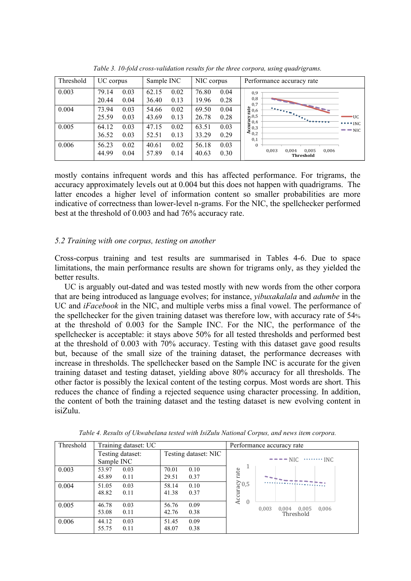| Threshold | UC corpus                      | Sample INC<br>NIC corpus       |                                | Performance accuracy rate                                                                                                                       |
|-----------|--------------------------------|--------------------------------|--------------------------------|-------------------------------------------------------------------------------------------------------------------------------------------------|
| 0.003     | 79.14<br>0.03<br>20.44<br>0.04 | 0.02<br>62.15<br>0.13<br>36.40 | 76.80<br>0.04<br>19.96<br>0.28 | 0,9<br>$_{0,8}$<br>0,7                                                                                                                          |
| 0.004     | 73.94<br>0.03<br>25.59<br>0.03 | 0.02<br>54.66<br>0.13<br>43.69 | 69.50<br>0.04<br>26.78<br>0.28 | $\frac{9}{5}$ 0,6<br>$\frac{1+\epsilon_1}{\epsilon_1+\epsilon_2}\frac{1}{\epsilon_2+\epsilon_3}\frac{1}{\epsilon_3+\epsilon_4}$<br>∍UC          |
| 0.005     | 64.12<br>0.03<br>36.52<br>0.03 | 47.15<br>0.02<br>0.13<br>52.51 | 63.51<br>0.03<br>33.29<br>0.29 | $\sum_{4}^{10,5}$<br>$\sum_{1}^{10,5}$<br>$\sum_{1}^{10,5}$<br>$\sum_{1}^{10,5}$<br>$\cdots$ $\cdots$<br>$\rightarrow$ $\rightarrow$ NIC<br>0,1 |
| 0.006     | 0.02<br>56.23<br>44.99<br>0.04 | 0.02<br>40.61<br>57.89<br>0.14 | 56.18<br>0.03<br>40.63<br>0.30 | $\Omega$<br>0.003<br>0.005<br>0.006<br>0.004<br>Threshold                                                                                       |

*Table 3. 10-fold cross-validation results for the three corpora, using quadrigrams.*

mostly contains infrequent words and this has affected performance. For trigrams, the accuracy approximately levels out at 0.004 but this does not happen with quadrigrams. The latter encodes a higher level of information content so smaller probabilities are more indicative of correctness than lower-level n-grams. For the NIC, the spellchecker performed best at the threshold of 0.003 and had 76% accuracy rate.

## *5.2 Training with one corpus, testing on another*

Cross-corpus training and test results are summarised in Tables 4-6. Due to space limitations, the main performance results are shown for trigrams only, as they yielded the better results.

UC is arguably out-dated and was tested mostly with new words from the other corpora that are being introduced as language evolves; for instance, *yibuxakalala* and *adumbe* in the UC and *iFacebook* in the NIC, and multiple verbs miss a final vowel. The performance of the spellchecker for the given training dataset was therefore low, with accuracy rate of 54% at the threshold of 0.003 for the Sample INC. For the NIC, the performance of the spellchecker is acceptable: it stays above 50% for all tested thresholds and performed best at the threshold of 0.003 with 70% accuracy. Testing with this dataset gave good results but, because of the small size of the training dataset, the performance decreases with increase in thresholds. The spellchecker based on the Sample INC is accurate for the given training dataset and testing dataset, yielding above 80% accuracy for all thresholds. The other factor is possibly the lexical content of the testing corpus. Most words are short. This reduces the chance of finding a rejected sequence using character processing. In addition, the content of both the training dataset and the testing dataset is new evolving content in isiZulu.

| Threshold | Training dataset: UC |                      | Performance accuracy rate                    |
|-----------|----------------------|----------------------|----------------------------------------------|
|           | Testing dataset:     | Testing dataset: NIC |                                              |
|           | Sample INC           |                      | $---NIC$ INC                                 |
| 0.003     | 53.97<br>0.03        | 70.01<br>0.10        | rate                                         |
|           | 45.89<br>0.11        | 29.51<br>0.37        |                                              |
| 0.004     | 0.03<br>51.05        | 0.10<br>58.14        |                                              |
|           | 48.82<br>0.11        | 41.38<br>0.37        | Accuracy<br>$\frac{0.5}{0.5}$                |
| 0.005     | 46.78<br>0.03        | 56.76<br>0.09        |                                              |
|           | 53.08<br>0.11        | 0.38<br>42.76        | $0.004$ 0.005<br>0,006<br>0.003<br>Threshold |
| 0.006     | 44.12<br>0.03        | 51.45<br>0.09        |                                              |
|           | 55.75<br>0.11        | 48.07<br>0.38        |                                              |

*Table 4. Results of Ukwabelana tested with IsiZulu National Corpus, and news item corpora.*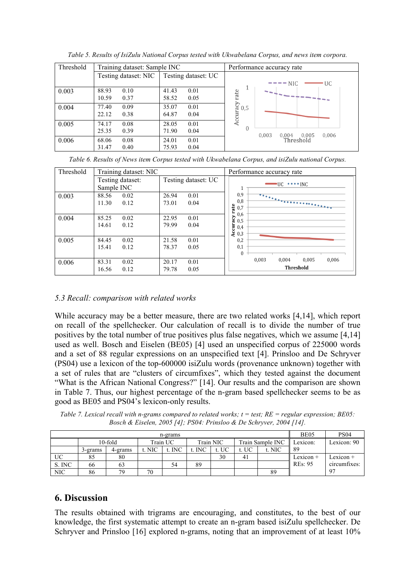| Threshold | Training dataset: Sample INC |                            | Performance accuracy rate                    |  |  |  |
|-----------|------------------------------|----------------------------|----------------------------------------------|--|--|--|
|           | Testing dataset: NIC         | <b>Testing dataset: UC</b> |                                              |  |  |  |
|           |                              |                            | $-$ NIC<br>UC.                               |  |  |  |
| 0.003     | 88.93<br>0.10                | 41.43<br>0.01              |                                              |  |  |  |
|           | 10.59<br>0.37                | 58.52<br>0.05              | rate<br>-------------                        |  |  |  |
| 0.004     | 77.40<br>0.09                | 35.07<br>0.01              | 0,5                                          |  |  |  |
|           | 22.12<br>0.38                | 64.87<br>0.04              | Accuracy                                     |  |  |  |
| 0.005     | 74.17<br>0.08                | 0.01<br>28.05              |                                              |  |  |  |
|           | 0.39<br>25.35                | 0.04<br>71.90              | $\Omega$<br>0.003<br>0.005<br>0.006<br>0.004 |  |  |  |
| 0.006     | 0.08<br>68.06                | 24.01<br>0.01              | Threshold                                    |  |  |  |
|           | 31.47<br>0.40                | 75.93<br>0.04              |                                              |  |  |  |

*Table 5. Results of IsiZulu National Corpus tested with Ukwabelana Corpus, and news item corpora.*

|  |  | Table 6. Results of News item Corpus tested with Ukwabelana Corpus, and isiZulu national Corpus. |  |
|--|--|--------------------------------------------------------------------------------------------------|--|
|  |  |                                                                                                  |  |

| Threshold | Training dataset: NIC |                     | Performance accuracy rate                |  |  |  |
|-----------|-----------------------|---------------------|------------------------------------------|--|--|--|
|           | Testing dataset:      | Testing dataset: UC | $\cdot$ UC $\cdot \cdot \cdot \cdot$ INC |  |  |  |
|           | Sample INC            |                     | T                                        |  |  |  |
| 0.003     | 88.56<br>0.02         | 26.94<br>0.01       | 0,9<br>$\overline{\cdots}$               |  |  |  |
|           | 11.30<br>0.12         | 73.01<br>0.04       | 0,8<br>rate<br>0,7<br>0,6                |  |  |  |
| 0.004     | 85.25<br>0.02         | 22.95<br>0.01       | 0,5                                      |  |  |  |
|           | 0.12<br>14.61         | 79.99<br>0.04       | curacy<br>0,4                            |  |  |  |
|           |                       |                     | 20,3                                     |  |  |  |
| 0.005     | 84.45<br>0.02         | 21.58<br>0.01       | 0,2                                      |  |  |  |
|           | 15.41<br>0.12         | 78.37<br>0.05       | 0,1                                      |  |  |  |
|           |                       |                     | $\mathbf{0}$                             |  |  |  |
| 0.006     | 83.31<br>0.02         | 20.17<br>0.01       | 0.003<br>0.005<br>0.006<br>0.004         |  |  |  |
|           | 0.12<br>16.56         | 79.78<br>0.05       | Threshold                                |  |  |  |

## *5.3 Recall: comparison with related works*

While accuracy may be a better measure, there are two related works [4,14], which report on recall of the spellchecker. Our calculation of recall is to divide the number of true positives by the total number of true positives plus false negatives, which we assume [4,14] used as well. Bosch and Eiselen (BE05) [4] used an unspecified corpus of 225000 words and a set of 88 regular expressions on an unspecified text [4]. Prinsloo and De Schryver (PS04) use a lexicon of the top-600000 isiZulu words (provenance unknown) together with a set of rules that are "clusters of circumfixes", which they tested against the document "What is the African National Congress?" [14]. Our results and the comparison are shown in Table 7. Thus, our highest percentage of the n-gram based spellchecker seems to be as good as BE05 and PS04's lexicon-only results.

*Table 7. Lexical recall with n-grams compared to related works; t = test; RE = regular expression; BE05: Bosch & Eiselen, 2005 [4]; PS04: Prinsloo & De Schryver, 2004 [14].*

| n-grams    |         |            |                                           |        |        |       | BE <sub>05</sub> | PS <sub>04</sub> |             |                |
|------------|---------|------------|-------------------------------------------|--------|--------|-------|------------------|------------------|-------------|----------------|
|            |         | $10$ -fold | Train Sample INC<br>Train NIC<br>Train UC |        |        |       | Lexicon:         | Lexicon: 90      |             |                |
|            | 3-grams | 4-grams    | t. NIC                                    | t. INC | t. INC | t. UC | t. UC            | t. NIC           | 89          |                |
| UC         |         | 80         |                                           |        |        | 30    | 41               |                  | Lexicon $+$ | $Lexicon +$    |
| S. INC     | 66      | 63         |                                           | 54     | 89     |       |                  |                  | REs: 95     | circumfixes:   |
| <b>NIC</b> | 86      | 79         | 70                                        |        |        |       |                  | 89               |             | Q <sub>7</sub> |

# **6. Discussion**

The results obtained with trigrams are encouraging, and constitutes, to the best of our knowledge, the first systematic attempt to create an n-gram based isiZulu spellchecker. De Schryver and Prinsloo [16] explored n-grams, noting that an improvement of at least 10%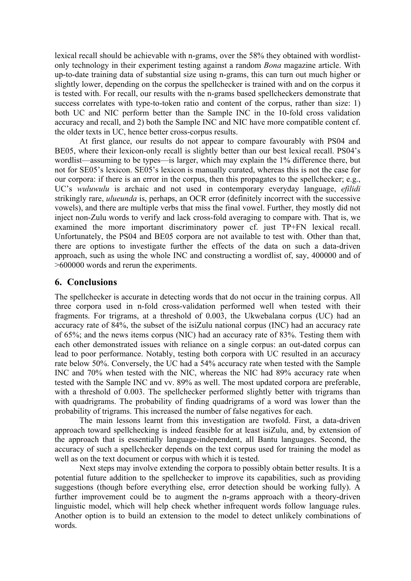lexical recall should be achievable with n-grams, over the 58% they obtained with wordlistonly technology in their experiment testing against a random *Bona* magazine article. With up-to-date training data of substantial size using n-grams, this can turn out much higher or slightly lower, depending on the corpus the spellchecker is trained with and on the corpus it is tested with. For recall, our results with the n-grams based spellcheckers demonstrate that success correlates with type-to-token ratio and content of the corpus, rather than size: 1) both UC and NIC perform better than the Sample INC in the 10-fold cross validation accuracy and recall, and 2) both the Sample INC and NIC have more compatible content cf. the older texts in UC, hence better cross-corpus results.

At first glance, our results do not appear to compare favourably with PS04 and BE05, where their lexicon-only recall is slightly better than our best lexical recall. PS04's wordlist—assuming to be types—is larger, which may explain the 1% difference there, but not for SE05's lexicon. SE05's lexicon is manually curated, whereas this is not the case for our corpora: if there is an error in the corpus, then this propagates to the spellchecker; e.g., UC's *wuluwulu* is archaic and not used in contemporary everyday language, *efilidi* strikingly rare, *ulueunda* is, perhaps, an OCR error (definitely incorrect with the successive vowels), and there are multiple verbs that miss the final vowel. Further, they mostly did not inject non-Zulu words to verify and lack cross-fold averaging to compare with. That is, we examined the more important discriminatory power cf. just TP+FN lexical recall. Unfortunately, the PS04 and BE05 corpora are not available to test with. Other than that, there are options to investigate further the effects of the data on such a data-driven approach, such as using the whole INC and constructing a wordlist of, say, 400000 and of >600000 words and rerun the experiments.

## **6. Conclusions**

The spellchecker is accurate in detecting words that do not occur in the training corpus. All three corpora used in n-fold cross-validation performed well when tested with their fragments. For trigrams, at a threshold of 0.003, the Ukwebalana corpus (UC) had an accuracy rate of 84%, the subset of the isiZulu national corpus (INC) had an accuracy rate of 65%; and the news items corpus (NIC) had an accuracy rate of 83%. Testing them with each other demonstrated issues with reliance on a single corpus: an out-dated corpus can lead to poor performance. Notably, testing both corpora with UC resulted in an accuracy rate below 50%. Conversely, the UC had a 54% accuracy rate when tested with the Sample INC and 70% when tested with the NIC, whereas the NIC had 89% accuracy rate when tested with the Sample INC and vv. 89% as well. The most updated corpora are preferable, with a threshold of 0.003. The spellchecker performed slightly better with trigrams than with quadrigrams. The probability of finding quadrigrams of a word was lower than the probability of trigrams. This increased the number of false negatives for each.

The main lessons learnt from this investigation are twofold. First, a data-driven approach toward spellchecking is indeed feasible for at least isiZulu, and, by extension of the approach that is essentially language-independent, all Bantu languages. Second, the accuracy of such a spellchecker depends on the text corpus used for training the model as well as on the text document or corpus with which it is tested.

Next steps may involve extending the corpora to possibly obtain better results. It is a potential future addition to the spellchecker to improve its capabilities, such as providing suggestions (though before everything else, error detection should be working fully). A further improvement could be to augment the n-grams approach with a theory-driven linguistic model, which will help check whether infrequent words follow language rules. Another option is to build an extension to the model to detect unlikely combinations of words.